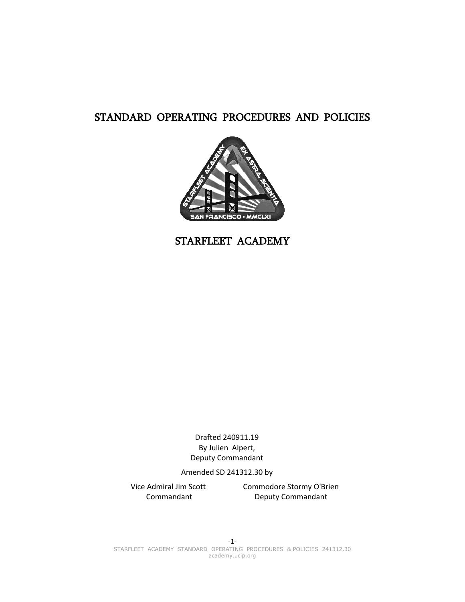# STANDARD OPERATING PROCEDURES AND POLICIES



STARFLEET ACADEMY

Drafted 240911.19 By Julien Alpert, Deputy Commandant

Amended SD 241312.30 by

Vice Admiral Jim Scott Commandant

Commodore Stormy O'Brien Deputy Commandant

-1- STARFLEET ACADEMY STANDARD OPERATING PROCEDURES & POLICIES 241312.30 academy.ucip.org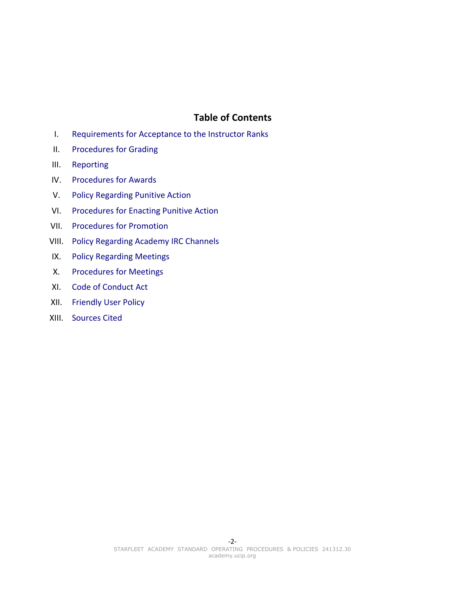## <span id="page-1-0"></span>**Table of Contents**

- I. [Requirements for Acceptance to the Instructor Ranks](#page-2-0)
- II. [Procedures for Grading](#page-3-2)
- III. [Reporting](#page-3-1)
- IV. [Procedures for Awards](#page-3-0)
- V. [Policy Regarding Punitive Action](#page-4-0)
- VI. [Procedures for Enacting Punitive Action](#page-5-0)
- VII. [Procedures for Promotion](#page-6-0)
- VIII. [Policy Regarding Academy IRC Channels](#page-7-0)
- IX. [Policy Regarding Meetings](#page-8-2)
- X. [Procedures for Meetings](#page-8-1)
- XI. [Code of Conduct Act](#page-8-0)
- XII. [Friendly User Policy](#page-9-1)
- XIII. [Sources Cited](#page-9-0)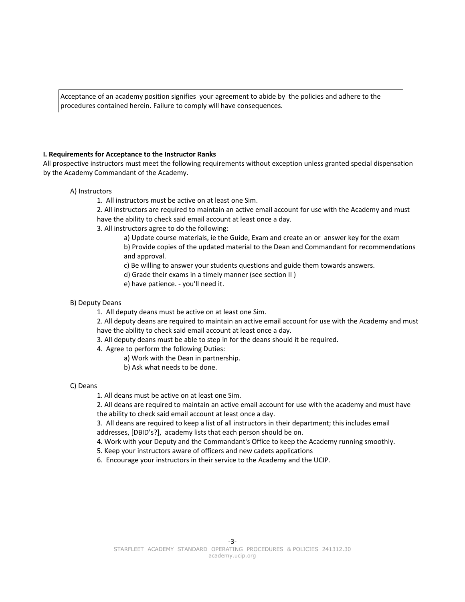Acceptance of an academy position signifies your agreement to abide by the policies and adhere to the procedures contained herein. Failure to comply will have consequences.

#### <span id="page-2-0"></span>**I. Requirements for Acceptance to the Instructor Ranks**

All prospective instructors must meet the following requirements without exception unless granted special dispensation by the Academy Commandant of the Academy.

#### A) Instructors

1. All instructors must be active on at least one Sim.

2. All instructors are required to maintain an active email account for use with the Academy and must have the ability to check said email account at least once a day.

3. All instructors agree to do the following:

a) Update course materials, ie the Guide, Exam and create an or answer key for the exam

b) Provide copies of the updated material to the Dean and Commandant for recommendations and approval.

c) Be willing to answer your students questions and guide them towards answers.

- d) Grade their exams in a timely manner (see section II )
- e) have patience. you'll need it.
- B) Deputy Deans

1. All deputy deans must be active on at least one Sim.

2. All deputy deans are required to maintain an active email account for use with the Academy and must have the ability to check said email account at least once a day.

- 3. All deputy deans must be able to step in for the deans should it be required.
- 4. Agree to perform the following Duties:
	- a) Work with the Dean in partnership.
	- b) Ask what needs to be done.

#### C) Deans

1. All deans must be active on at least one Sim.

2. All deans are required to maintain an active email account for use with the academy and must have the ability to check said email account at least once a day.

3. All deans are required to keep a list of all instructors in their department; this includes email addresses, [DBID's?], academy lists that each person should be on.

4. Work with your Deputy and the Commandant's Office to keep the Academy running smoothly.

5. Keep your instructors aware of officers and new cadets applications

6. Encourage your instructors in their service to the Academy and the UCIP.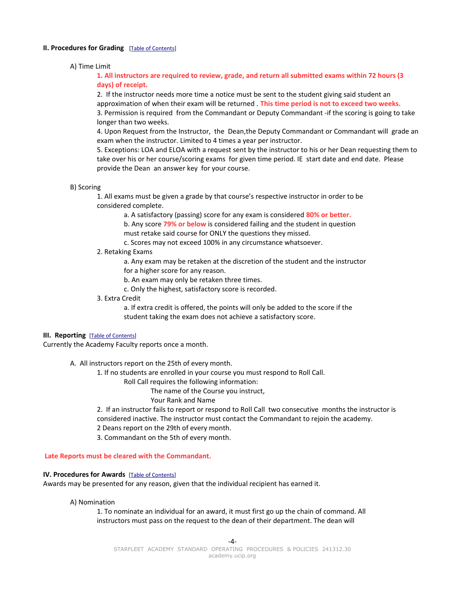#### <span id="page-3-2"></span>**II. Procedures for Grading** [\[Table of Contents\]](#page-1-0)

#### A) Time Limit

**1. All instructors are required to review, grade, and return all submitted exams within 72 hours (3 days) of receipt.**

2. If the instructor needs more time a notice must be sent to the student giving said student an approximation of when their exam will be returned . **This time period is not to exceed two weeks.**  3. Permission is required from the Commandant or Deputy Commandant -if the scoring is going to take longer than two weeks.

4. Upon Request from the Instructor, the Dean,the Deputy Commandant or Commandant will grade an exam when the instructor. Limited to 4 times a year per instructor.

5. Exceptions: LOA and ELOA with a request sent by the instructor to his or her Dean requesting them to take over his or her course/scoring exams for given time period. IE start date and end date. Please provide the Dean an answer key for your course.

```
B) Scoring
```
1. All exams must be given a grade by that course's respective instructor in order to be considered complete.

a. A satisfactory (passing) score for any exam is considered **80% or better.**

b. Any score **79% or below** is considered failing and the student in question

must retake said course for ONLY the questions they missed.

c. Scores may not exceed 100% in any circumstance whatsoever.

## 2. Retaking Exams

a. Any exam may be retaken at the discretion of the student and the instructor for a higher score for any reason.

b. An exam may only be retaken three times.

c. Only the highest, satisfactory score is recorded.

3. Extra Credit

a. If extra credit is offered, the points will only be added to the score if the student taking the exam does not achieve a satisfactory score.

#### <span id="page-3-1"></span>**III. Reporting** [\[Table of Contents\]](#page-1-0)

Currently the Academy Faculty reports once a month.

A. All instructors report on the 25th of every month.

1. If no students are enrolled in your course you must respond to Roll Call.

Roll Call requires the following information:

The name of the Course you instruct,

Your Rank and Name

2. If an instructor fails to report or respond to Roll Call two consecutive months the instructor is considered inactive. The instructor must contact the Commandant to rejoin the academy.

2 Deans report on the 29th of every month.

<span id="page-3-0"></span>3. Commandant on the 5th of every month.

 **Late Reports must be cleared with the Commandant.**

#### **IV. Procedures for Awards** [\[Table of Contents\]](#page-1-0)

Awards may be presented for any reason, given that the individual recipient has earned it.

A) Nomination

1. To nominate an individual for an award, it must first go up the chain of command. All instructors must pass on the request to the dean of their department. The dean will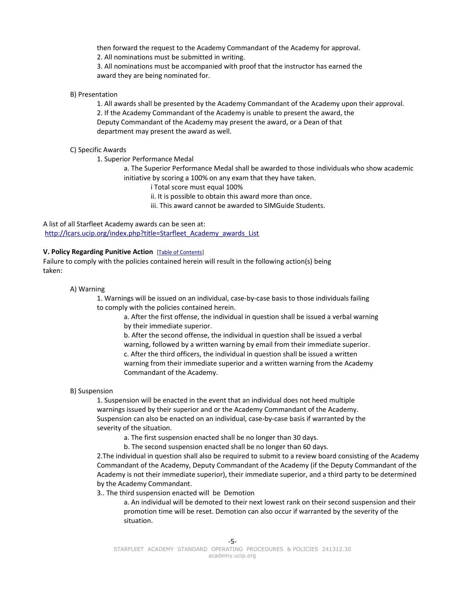then forward the request to the Academy Commandant of the Academy for approval.

2. All nominations must be submitted in writing.

3. All nominations must be accompanied with proof that the instructor has earned the award they are being nominated for.

## B) Presentation

1. All awards shall be presented by the Academy Commandant of the Academy upon their approval. 2. If the Academy Commandant of the Academy is unable to present the award, the Deputy Commandant of the Academy may present the award, or a Dean of that department may present the award as well.

## C) Specific Awards

1. Superior Performance Medal

a. The Superior Performance Medal shall be awarded to those individuals who show academic initiative by scoring a 100% on any exam that they have taken.

i Total score must equal 100%

ii. It is possible to obtain this award more than once.

iii. This award cannot be awarded to SIMGuide Students.

A list of all Starfleet Academy awards can be seen at: [http://lcars.ucip.org/index.php?title=Starfleet\\_Academy\\_awards\\_List](http://lcars.ucip.org/index.php?title=Starfleet_Academy_awards_List)

## <span id="page-4-0"></span>**V. Policy Regarding Punitive Action** [\[Table of Contents\]](#page-1-0)

Failure to comply with the policies contained herein will result in the following action(s) being taken:

A) Warning

1. Warnings will be issued on an individual, case-by-case basis to those individuals failing to comply with the policies contained herein.

a. After the first offense, the individual in question shall be issued a verbal warning by their immediate superior.

b. After the second offense, the individual in question shall be issued a verbal warning, followed by a written warning by email from their immediate superior. c. After the third officers, the individual in question shall be issued a written warning from their immediate superior and a written warning from the Academy Commandant of the Academy.

B) Suspension

1. Suspension will be enacted in the event that an individual does not heed multiple warnings issued by their superior and or the Academy Commandant of the Academy. Suspension can also be enacted on an individual, case-by-case basis if warranted by the severity of the situation.

a. The first suspension enacted shall be no longer than 30 days.

b. The second suspension enacted shall be no longer than 60 days.

2.The individual in question shall also be required to submit to a review board consisting of the Academy Commandant of the Academy, Deputy Commandant of the Academy (if the Deputy Commandant of the Academy is not their immediate superior), their immediate superior, and a third party to be determined by the Academy Commandant.

3.. The third suspension enacted will be Demotion

a. An individual will be demoted to their next lowest rank on their second suspension and their promotion time will be reset. Demotion can also occur if warranted by the severity of the situation.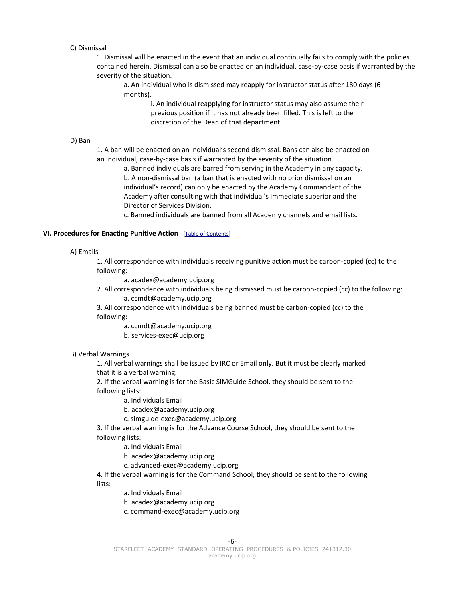## C) Dismissal

1. Dismissal will be enacted in the event that an individual continually fails to comply with the policies contained herein. Dismissal can also be enacted on an individual, case-by-case basis if warranted by the severity of the situation.

a. An individual who is dismissed may reapply for instructor status after 180 days (6 months).

> i. An individual reapplying for instructor status may also assume their previous position if it has not already been filled. This is left to the discretion of the Dean of that department.

#### D) Ban

1. A ban will be enacted on an individual's second dismissal. Bans can also be enacted on an individual, case-by-case basis if warranted by the severity of the situation.

a. Banned individuals are barred from serving in the Academy in any capacity. b. A non-dismissal ban (a ban that is enacted with no prior dismissal on an individual's record) can only be enacted by the Academy Commandant of the Academy after consulting with that individual's immediate superior and the Director of Services Division.

<span id="page-5-0"></span>c. Banned individuals are banned from all Academy channels and email lists.

## **VI. Procedures for Enacting Punitive Action** [\[Table of Contents\]](#page-1-0)

#### A) Emails

1. All correspondence with individuals receiving punitive action must be carbon-copied (cc) to the following:

a. acadex@academy.ucip.org

2. All correspondence with individuals being dismissed must be carbon-copied (cc) to the following: a. ccmdt@academy.ucip.org

3. All correspondence with individuals being banned must be carbon-copied (cc) to the following:

a. ccmdt@academy.ucip.org

b. services-exec@ucip.org

## B) Verbal Warnings

1. All verbal warnings shall be issued by IRC or Email only. But it must be clearly marked that it is a verbal warning.

2. If the verbal warning is for the Basic SIMGuide School, they should be sent to the following lists:

a. Individuals Email

b. acadex@academy.ucip.org

c. simguide-exec@academy.ucip.org

3. If the verbal warning is for the Advance Course School, they should be sent to the following lists:

a. Individuals Email

b. acadex@academy.ucip.org

c. advanced-exec@academy.ucip.org

4. If the verbal warning is for the Command School, they should be sent to the following lists:

a. Individuals Email

b. acadex@academy.ucip.org

c. command-exec@academy.ucip.org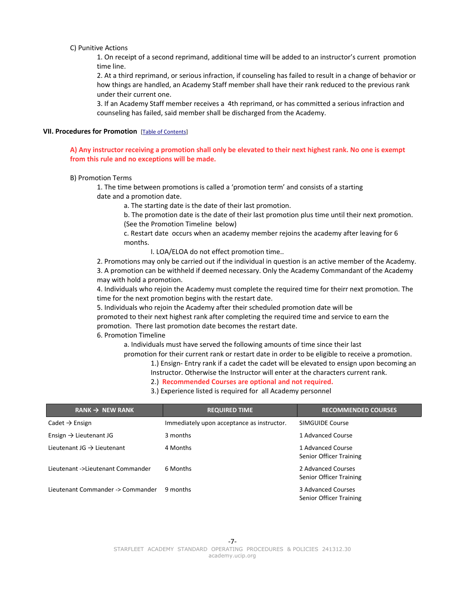#### C) Punitive Actions

1. On receipt of a second reprimand, additional time will be added to an instructor's current promotion time line.

2. At a third reprimand, or serious infraction, if counseling has failed to result in a change of behavior or how things are handled, an Academy Staff member shall have their rank reduced to the previous rank under their current one.

<span id="page-6-0"></span>3. If an Academy Staff member receives a 4th reprimand, or has committed a serious infraction and counseling has failed, said member shall be discharged from the Academy.

## **VII. Procedures for Promotion** [\[Table of Contents\]](#page-1-0)

## **A) Any instructor receiving a promotion shall only be elevated to their next highest rank. No one is exempt from this rule and no exceptions will be made.**

#### B) Promotion Terms

1. The time between promotions is called a 'promotion term' and consists of a starting date and a promotion date.

a. The starting date is the date of their last promotion.

b. The promotion date is the date of their last promotion plus time until their next promotion. (See the Promotion Timeline below)

c. Restart date occurs when an academy member rejoins the academy after leaving for 6 months.

I. LOA/ELOA do not effect promotion time..

2. Promotions may only be carried out if the individual in question is an active member of the Academy. 3. A promotion can be withheld if deemed necessary. Only the Academy Commandant of the Academy may with hold a promotion.

4. Individuals who rejoin the Academy must complete the required time for theirr next promotion. The time for the next promotion begins with the restart date.

5. Individuals who rejoin the Academy after their scheduled promotion date will be

promoted to their next highest rank after completing the required time and service to earn the promotion. There last promotion date becomes the restart date.

6. Promotion Timeline

a. Individuals must have served the following amounts of time since their last

promotion for their current rank or restart date in order to be eligible to receive a promotion.

1.) Ensign- Entry rank if a cadet the cadet will be elevated to ensign upon becoming an

Instructor. Otherwise the Instructor will enter at the characters current rank.

2.) **Recommended Courses are optional and not required.**

3.) Experience listed is required for all Academy personnel

| RANK $\rightarrow$ NEW RANK            | <b>REQUIRED TIME</b>                       | <b>RECOMMENDED COURSES</b>                    |
|----------------------------------------|--------------------------------------------|-----------------------------------------------|
| Cadet $\rightarrow$ Ensign             | Immediately upon acceptance as instructor. | SIMGUIDE Course                               |
| Ensign $\rightarrow$ Lieutenant JG     | 3 months                                   | 1 Advanced Course                             |
| Lieutenant JG $\rightarrow$ Lieutenant | 4 Months                                   | 1 Advanced Course<br>Senior Officer Training  |
| Lieutenant ->Lieutenant Commander      | 6 Months                                   | 2 Advanced Courses<br>Senior Officer Training |
| Lieutenant Commander -> Commander      | 9 months                                   | 3 Advanced Courses<br>Senior Officer Training |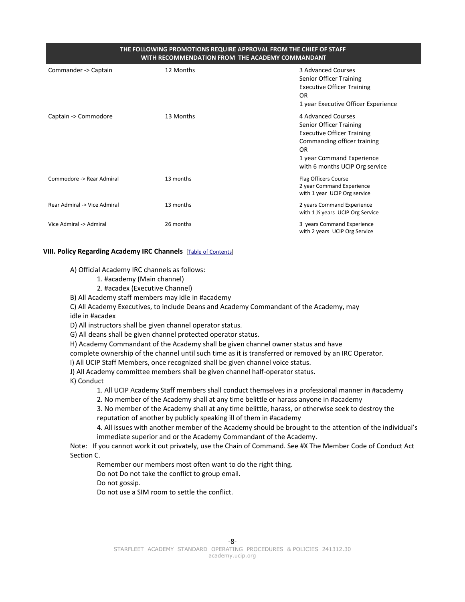## **THE FOLLOWING PROMOTIONS REQUIRE APPROVAL FROM THE CHIEF OF STAFF WITH RECOMMENDATION FROM THE ACADEMY COMMANDANT**

| Commander -> Captain         | 12 Months | 3 Advanced Courses<br>Senior Officer Training<br><b>Executive Officer Training</b><br>OR<br>1 year Executive Officer Experience                                                        |
|------------------------------|-----------|----------------------------------------------------------------------------------------------------------------------------------------------------------------------------------------|
| Captain -> Commodore         | 13 Months | 4 Advanced Courses<br>Senior Officer Training<br><b>Executive Officer Training</b><br>Commanding officer training<br>OR<br>1 year Command Experience<br>with 6 months UCIP Org service |
| Commodore -> Rear Admiral    | 13 months | Flag Officers Course<br>2 year Command Experience<br>with 1 year UCIP Org service                                                                                                      |
| Rear Admiral -> Vice Admiral | 13 months | 2 years Command Experience<br>with 1 1/2 years UCIP Org Service                                                                                                                        |
| Vice Admiral -> Admiral      | 26 months | 3 years Command Experience<br>with 2 years UCIP Org Service                                                                                                                            |

## **VIII. Policy Regarding Academy IRC Channels** [\[Table of Contents\]](#page-1-0)

A) Official Academy IRC channels as follows:

- <span id="page-7-0"></span>1. #academy (Main channel)
- 2. #acadex (Executive Channel)

B) All Academy staff members may idle in #academy

C) All Academy Executives, to include Deans and Academy Commandant of the Academy, may

idle in #acadex

D) All instructors shall be given channel operator status.

G) All deans shall be given channel protected operator status.

H) Academy Commandant of the Academy shall be given channel owner status and have

complete ownership of the channel until such time as it is transferred or removed by an IRC Operator.

I) All UCIP Staff Members, once recognized shall be given channel voice status.

J) All Academy committee members shall be given channel half-operator status.

K) Conduct

1. All UCIP Academy Staff members shall conduct themselves in a professional manner in #academy

2. No member of the Academy shall at any time belittle or harass anyone in #academy

3. No member of the Academy shall at any time belittle, harass, or otherwise seek to destroy the reputation of another by publicly speaking ill of them in #academy

4. All issues with another member of the Academy should be brought to the attention of the individual's immediate superior and or the Academy Commandant of the Academy.

Note: If you cannot work it out privately, use the Chain of Command. See #X The Member Code of Conduct Act Section C.

Remember our members most often want to do the right thing.

Do not Do not take the conflict to group email.

Do not gossip.

Do not use a SIM room to settle the conflict.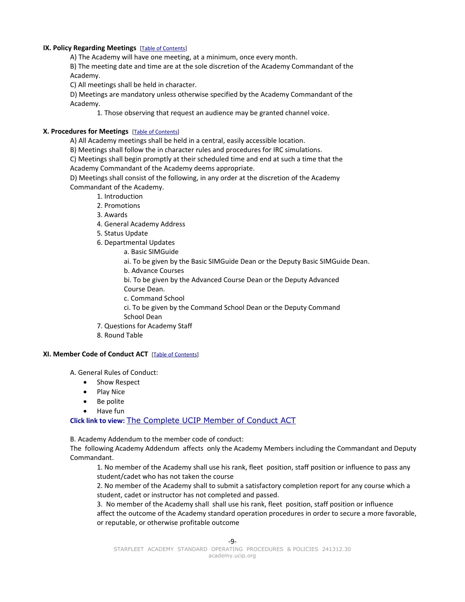## **IX. Policy Regarding Meetings** [\[Table of Contents\]](#page-1-0)

<span id="page-8-2"></span>A) The Academy will have one meeting, at a minimum, once every month.

B) The meeting date and time are at the sole discretion of the Academy Commandant of the Academy.

C) All meetings shall be held in character.

D) Meetings are mandatory unless otherwise specified by the Academy Commandant of the Academy.

<span id="page-8-1"></span>1. Those observing that request an audience may be granted channel voice.

## **X. Procedures for Meetings** [\[Table of Contents\]](#page-1-0)

A) All Academy meetings shall be held in a central, easily accessible location.

B) Meetings shall follow the in character rules and procedures for IRC simulations.

C) Meetings shall begin promptly at their scheduled time and end at such a time that the Academy Commandant of the Academy deems appropriate.

D) Meetings shall consist of the following, in any order at the discretion of the Academy Commandant of the Academy.

- 1. Introduction
- 2. Promotions
- 3. Awards
- 4. General Academy Address
- 5. Status Update
- 6. Departmental Updates
	- a. Basic SIMGuide
		- ai. To be given by the Basic SIMGuide Dean or the Deputy Basic SIMGuide Dean.
	- b. Advance Courses

bi. To be given by the Advanced Course Dean or the Deputy Advanced Course Dean.

- c. Command School
- ci. To be given by the Command School Dean or the Deputy Command
- School Dean
- 7. Questions for Academy Staff
- <span id="page-8-0"></span>8. Round Table

## **XI. Member Code of Conduct ACT** [\[Table of Contents\]](#page-1-0)

A. General Rules of Conduct:

- Show Respect
- Play Nice
- Be polite
- Have fun

**Click link to view:** [The Complete UCIP Member of Conduct ACT](http://ucip.org/about/bylaws/conduct.html)

B. Academy Addendum to the member code of conduct:

The following Academy Addendum affects only the Academy Members including the Commandant and Deputy Commandant.

1. No member of the Academy shall use his rank, fleet position, staff position or influence to pass any student/cadet who has not taken the course

2. No member of the Academy shall to submit a satisfactory completion report for any course which a student, cadet or instructor has not completed and passed.

3. No member of the Academy shall shall use his rank, fleet position, staff position or influence affect the outcome of the Academy standard operation procedures in order to secure a more favorable, or reputable, or otherwise profitable outcome